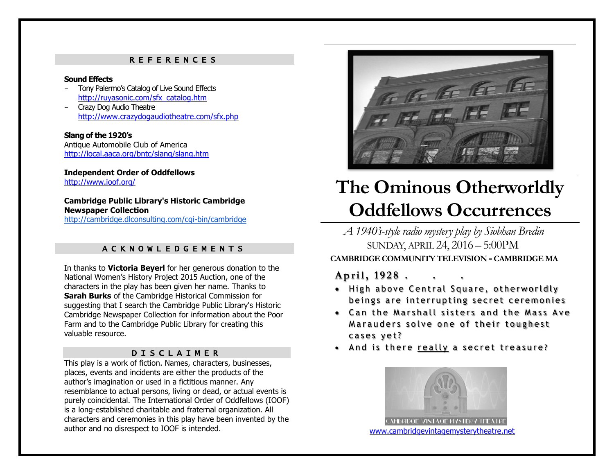#### REFERENCES

#### **Sound Effects**

- Tony Palermo's Catalog of Live Sound Effects [http://ruyasonic.com/sfx\\_catalog.htm](http://ruyasonic.com/sfx_catalog.htm)
- Crazy Dog Audio Theatre <http://www.crazydogaudiotheatre.com/sfx.php>

#### **Slang of the 1920's**

Antique Automobile Club of America <http://local.aaca.org/bntc/slang/slang.htm>

#### **Independent Order of Oddfellows**

<http://www.ioof.org/>

#### **Cambridge Public Library's Historic Cambridge Newspaper Collection**

<http://cambridge.dlconsulting.com/cgi-bin/cambridge>

#### ACKNOWLEDGEMENTS

In thanks to **Victoria Beyerl** for her generous donation to the National Women's History Project 2015 Auction, one of the characters in the play has been given her name. Thanks to **Sarah Burks** of the Cambridge Historical Commission for suggesting that I search the Cambridge Public Library's Historic Cambridge Newspaper Collection for information about the Poor Farm and to the Cambridge Public Library for creating this valuable resource.

#### DISCLAIMER

This play is a work of fiction. Names, characters, businesses, places, events and incidents are either the products of the author's imagination or used in a fictitious manner. Any resemblance to actual persons, living or dead, or actual events is purely coincidental. The International Order of Oddfellows (IOOF) is a long-established charitable and fraternal organization. All characters and ceremonies in this play have been invented by the author and no disrespect to IOOF is intended.



# **The Ominous Otherworldly Oddfellows Occurrences**

 *A 1940's-style radio mystery play by Siobhan Bredin* SUNDAY, APRIL 24, 2016 – 5:00PM

 **CAMBRIDGE COMMUNITY TELEVISION -CAMBRIDGE MA**

### **A p r i l , 1 9 2 8 . . .**

- High above Central Square, otherworldly beings are interrupting secret ceremonies
- Can the Marshall sisters and the Mass Ave Marauders solve one of their toughest cases yet?
- And is there really a secret treasure?



[www.cambridgevintagemysterytheatre.net](http://www.cambridgevintagemysterytheatre.net/)